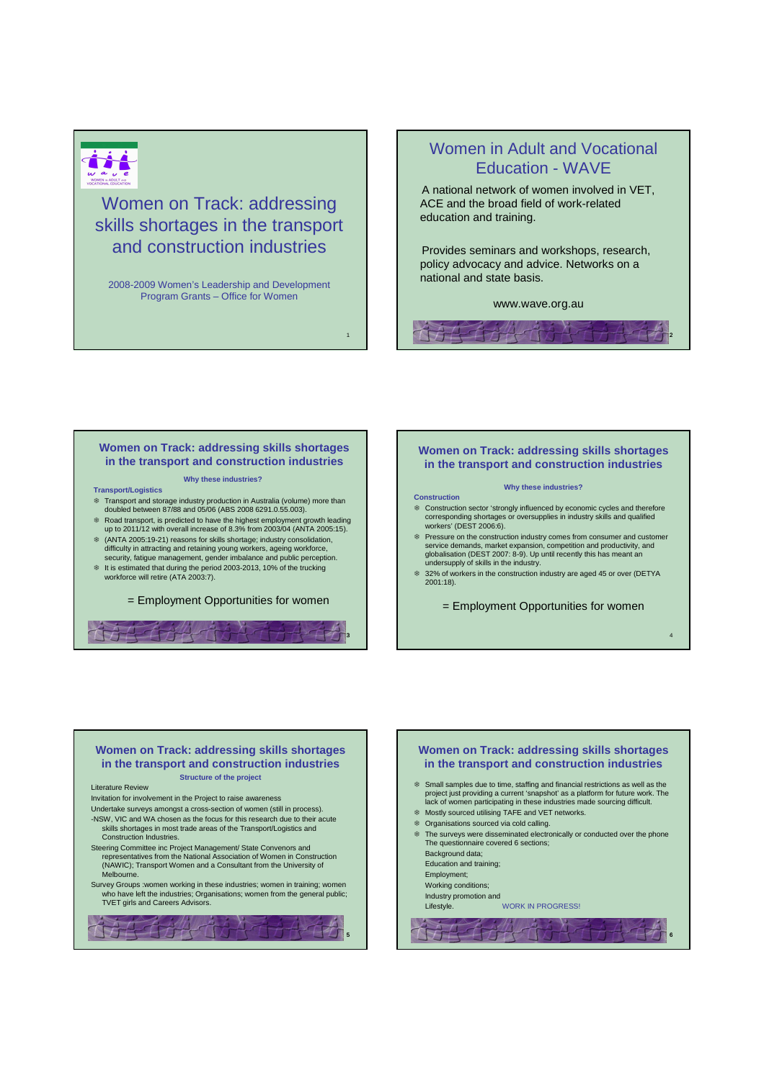

Women on Track: addressing skills shortages in the transport and construction industries

2008-2009 Women's Leadership and Development Program Grants – Office for Women

# Women in Adult and Vocational Education - WAVE

A national network of women involved in VET, ACE and the broad field of work-related education and training.

Provides seminars and workshops, research, policy advocacy and advice. Networks on a national and state basis.

#### www.wave.org.au

 $\mathbb{Z}$ 

2

4

### **Women on Track: addressing skills shortages in the transport and construction industries**

#### **Why these industries?**

- **Transport/Logistics**
- Transport and storage industry production in Australia (volume) more than doubled between 87/88 and 05/06 (ABS 2008 6291.0.55.003).
- Road transport, is predicted to have the highest employment growth leading up to 2011/12 with overall increase of 8.3% from 2003/04 (ANTA 2005:15). (ANTA 2005:19-21) reasons for skills shortage; industry consolidation,
- difficulty in attracting and retaining young workers, ageing workforce, security, fatigue management, gender imbalance and public perception. It is estimated that during the period 2003-2013, 10% of the trucking workforce will retire (ATA 2003:7).
- 

= Employment Opportunities for women



## **Women on Track: addressing skills shortages in the transport and construction industries**

#### **Why these industries?**

**Construction**

1

- Construction sector 'strongly influenced by economic cycles and therefore corresponding shortages or oversupplies in industry skills and qualified workers' (DEST 2006:6).
- Pressure on the construction industry comes from consumer and customer service demands, market expansion, competition and productivity, and globalisation (DEST 2007: 8-9). Up until recently this has meant an undersupply of skills in the industry.
- 32% of workers in the construction industry are aged 45 or over (DETYA 2001:18).

= Employment Opportunities for women